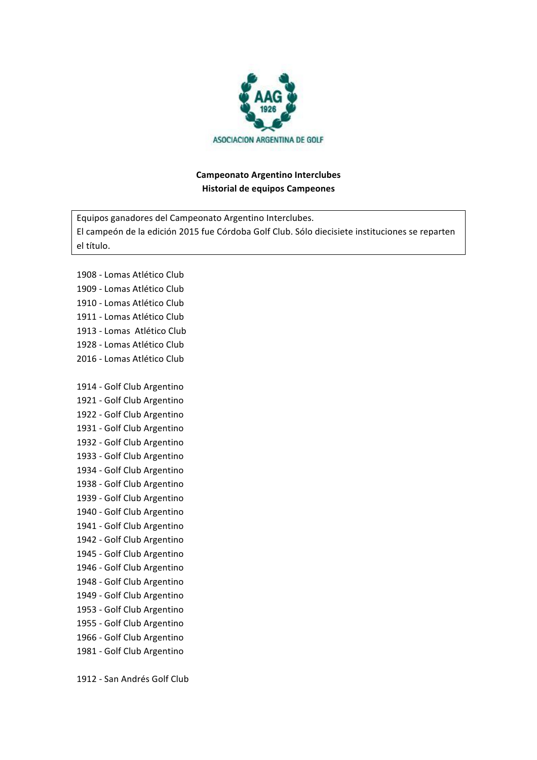

## **Campeonato Argentino Interclubes Historial de equipos Campeones**

Equipos ganadores del Campeonato Argentino Interclubes. El campeón de la edición 2015 fue Córdoba Golf Club. Sólo diecisiete instituciones se reparten el título. 

1908 - Lomas Atlético Club 1909 - Lomas Atlético Club 1910 - Lomas Atlético Club 1911 - Lomas Atlético Club 1913 - Lomas Atlético Club 1928 - Lomas Atlético Club 2016 - Lomas Atlético Club 1914 - Golf Club Argentino 1921 - Golf Club Argentino 1922 - Golf Club Argentino 1931 - Golf Club Argentino 1932 - Golf Club Argentino 1933 - Golf Club Argentino 1934 - Golf Club Argentino 1938 - Golf Club Argentino 1939 - Golf Club Argentino 1940 - Golf Club Argentino 1941 - Golf Club Argentino 1942 - Golf Club Argentino 1945 - Golf Club Argentino 1946 - Golf Club Argentino 1948 - Golf Club Argentino 1949 - Golf Club Argentino 1953 - Golf Club Argentino 1955 - Golf Club Argentino 1966 - Golf Club Argentino 1981 - Golf Club Argentino

1912 - San Andrés Golf Club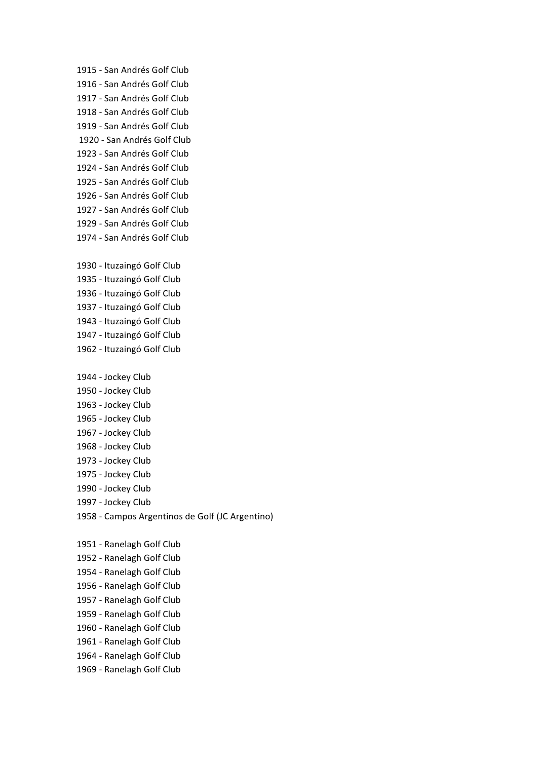1915 - San Andrés Golf Club 1916 - San Andrés Golf Club 1917 - San Andrés Golf Club 1918 - San Andrés Golf Club 1919 - San Andrés Golf Club 1920 - San Andrés Golf Club 1923 - San Andrés Golf Club 1924 - San Andrés Golf Club 1925 - San Andrés Golf Club 1926 - San Andrés Golf Club 1927 - San Andrés Golf Club 1929 - San Andrés Golf Club 1974 - San Andrés Golf Club 1930 - Ituzaingó Golf Club 1935 - Ituzaingó Golf Club 1936 - Ituzaingó Golf Club 1937 - Ituzaingó Golf Club 1943 - Ituzaingó Golf Club 1947 - Ituzaingó Golf Club 1962 - Ituzaingó Golf Club 1944 - Jockey Club 1950 - Jockey Club 1963 - Jockey Club 1965 - Jockey Club 1967 - Jockey Club 1968 - Jockey Club 1973 - Jockey Club 1975 - Jockey Club 1990 - Jockey Club 1997 - Jockey Club 1958 - Campos Argentinos de Golf (JC Argentino) 1951 - Ranelagh Golf Club 1952 - Ranelagh Golf Club 1954 - Ranelagh Golf Club 1956 - Ranelagh Golf Club 1957 - Ranelagh Golf Club 1959 - Ranelagh Golf Club 1960 - Ranelagh Golf Club 1961 - Ranelagh Golf Club 1964 - Ranelagh Golf Club 1969 - Ranelagh Golf Club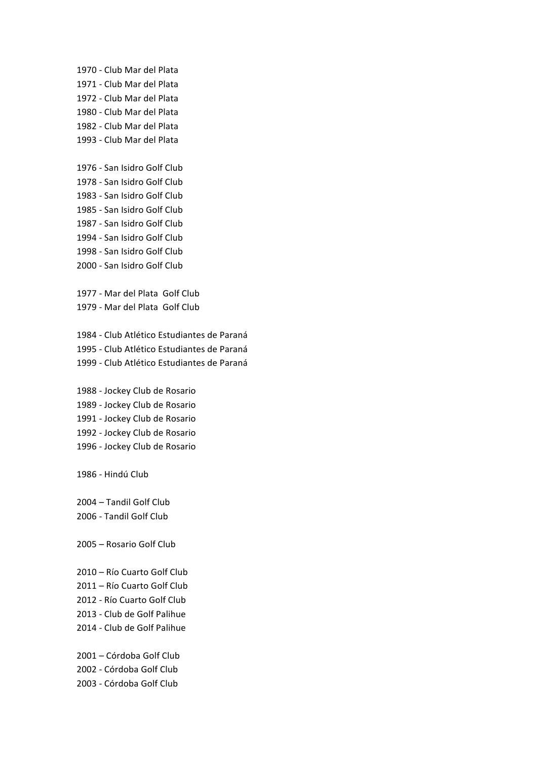1970 - Club Mar del Plata 1971 - Club Mar del Plata 1972 - Club Mar del Plata 1980 - Club Mar del Plata 1982 - Club Mar del Plata 1993 - Club Mar del Plata

1976 - San Isidro Golf Club 1978 - San Isidro Golf Club 1983 - San Isidro Golf Club 1985 - San Isidro Golf Club 1987 - San Isidro Golf Club 1994 - San Isidro Golf Club 1998 - San Isidro Golf Club 2000 - San Isidro Golf Club

1977 - Mar del Plata Golf Club 1979 - Mar del Plata Golf Club

1984 - Club Atlético Estudiantes de Paraná 1995 - Club Atlético Estudiantes de Paraná 1999 - Club Atlético Estudiantes de Paraná

1988 - Jockey Club de Rosario 1989 - Jockey Club de Rosario 1991 - Jockey Club de Rosario 1992 - Jockey Club de Rosario 1996 - Jockey Club de Rosario

1986 - Hindú Club

2004 - Tandil Golf Club 2006 - Tandil Golf Club

2005 - Rosario Golf Club

2010 - Río Cuarto Golf Club 2011 - Río Cuarto Golf Club 2012 - Río Cuarto Golf Club 2013 - Club de Golf Palihue 2014 - Club de Golf Palihue

2001 - Córdoba Golf Club 2002 - Córdoba Golf Club 2003 - Córdoba Golf Club